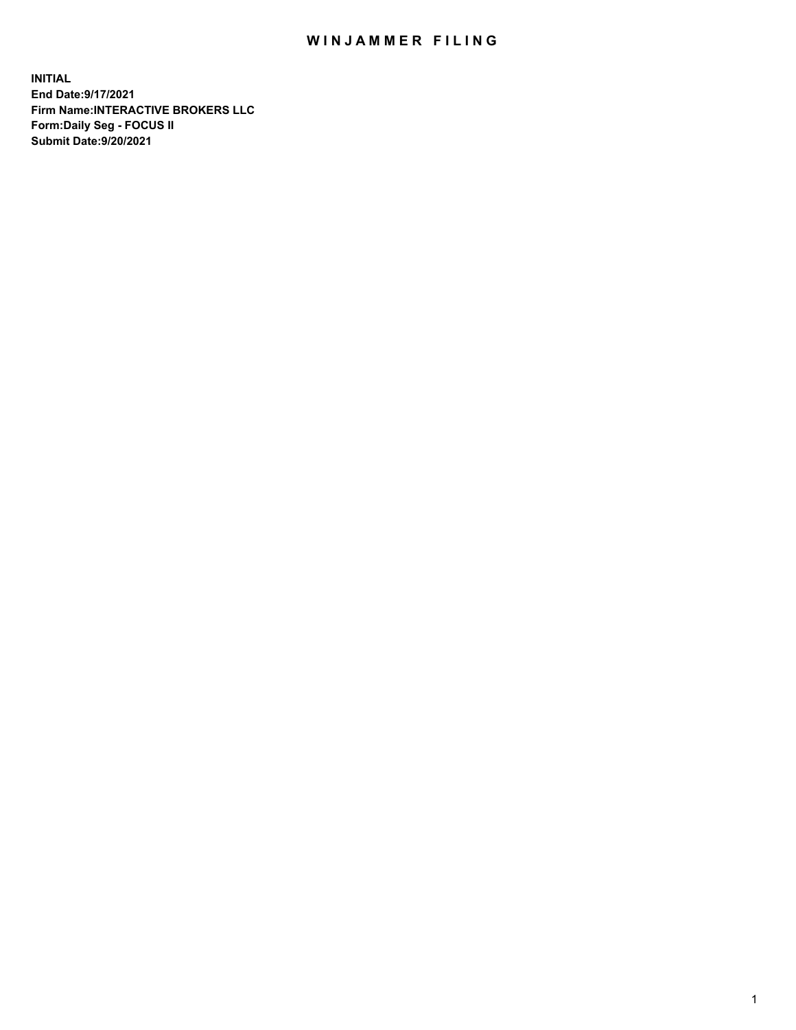## WIN JAMMER FILING

**INITIAL End Date:9/17/2021 Firm Name:INTERACTIVE BROKERS LLC Form:Daily Seg - FOCUS II Submit Date:9/20/2021**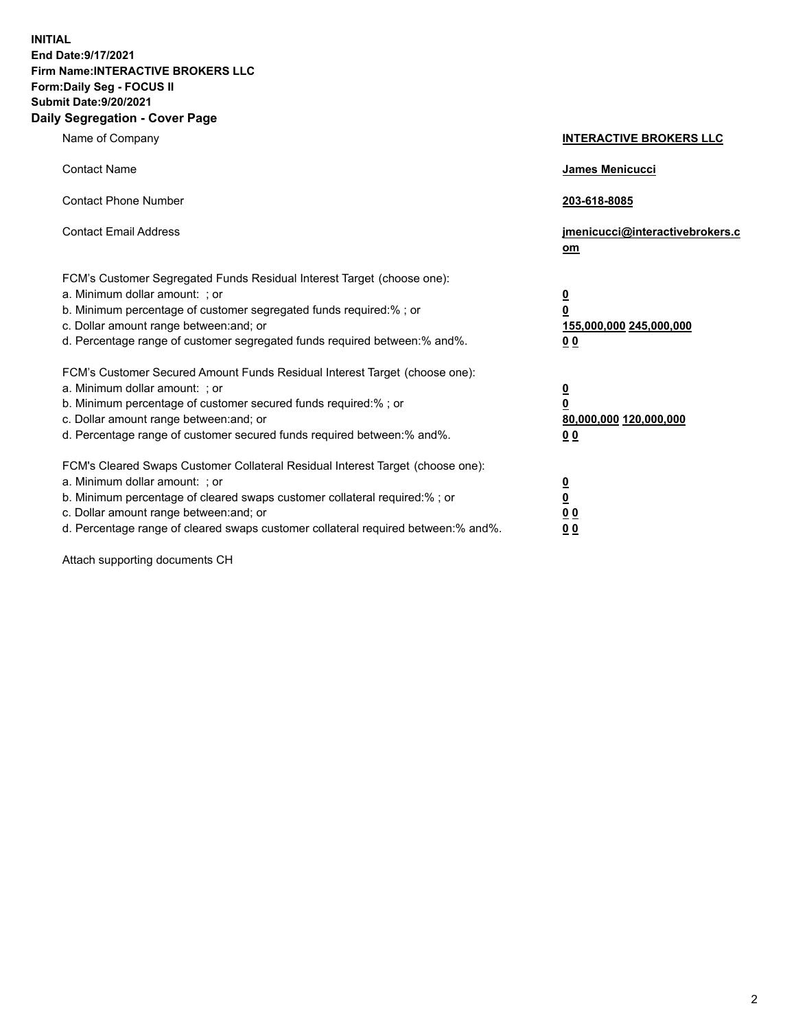**INITIAL End Date:9/17/2021 Firm Name:INTERACTIVE BROKERS LLC Form:Daily Seg - FOCUS II Submit Date:9/20/2021 Daily Segregation - Cover Page**

| Name of Company                                                                                                                                                                                                                                                                                                                | <b>INTERACTIVE BROKERS LLC</b>                                                                 |  |
|--------------------------------------------------------------------------------------------------------------------------------------------------------------------------------------------------------------------------------------------------------------------------------------------------------------------------------|------------------------------------------------------------------------------------------------|--|
| <b>Contact Name</b>                                                                                                                                                                                                                                                                                                            | <b>James Menicucci</b>                                                                         |  |
| <b>Contact Phone Number</b>                                                                                                                                                                                                                                                                                                    | 203-618-8085                                                                                   |  |
| <b>Contact Email Address</b>                                                                                                                                                                                                                                                                                                   | jmenicucci@interactivebrokers.c<br>om                                                          |  |
| FCM's Customer Segregated Funds Residual Interest Target (choose one):<br>a. Minimum dollar amount: ; or<br>b. Minimum percentage of customer segregated funds required:% ; or<br>c. Dollar amount range between: and; or<br>d. Percentage range of customer segregated funds required between:% and%.                         | $\overline{\mathbf{0}}$<br>$\overline{\mathbf{0}}$<br>155,000,000 245,000,000<br>00            |  |
| FCM's Customer Secured Amount Funds Residual Interest Target (choose one):<br>a. Minimum dollar amount: ; or<br>b. Minimum percentage of customer secured funds required:% ; or<br>c. Dollar amount range between: and; or<br>d. Percentage range of customer secured funds required between:% and%.                           | $\overline{\mathbf{0}}$<br>$\overline{\mathbf{0}}$<br>80,000,000 120,000,000<br>0 <sub>0</sub> |  |
| FCM's Cleared Swaps Customer Collateral Residual Interest Target (choose one):<br>a. Minimum dollar amount: ; or<br>b. Minimum percentage of cleared swaps customer collateral required:% ; or<br>c. Dollar amount range between: and; or<br>d. Percentage range of cleared swaps customer collateral required between:% and%. | $\overline{\mathbf{0}}$<br><u>0</u><br>0 <sub>0</sub><br>0 <sub>0</sub>                        |  |

Attach supporting documents CH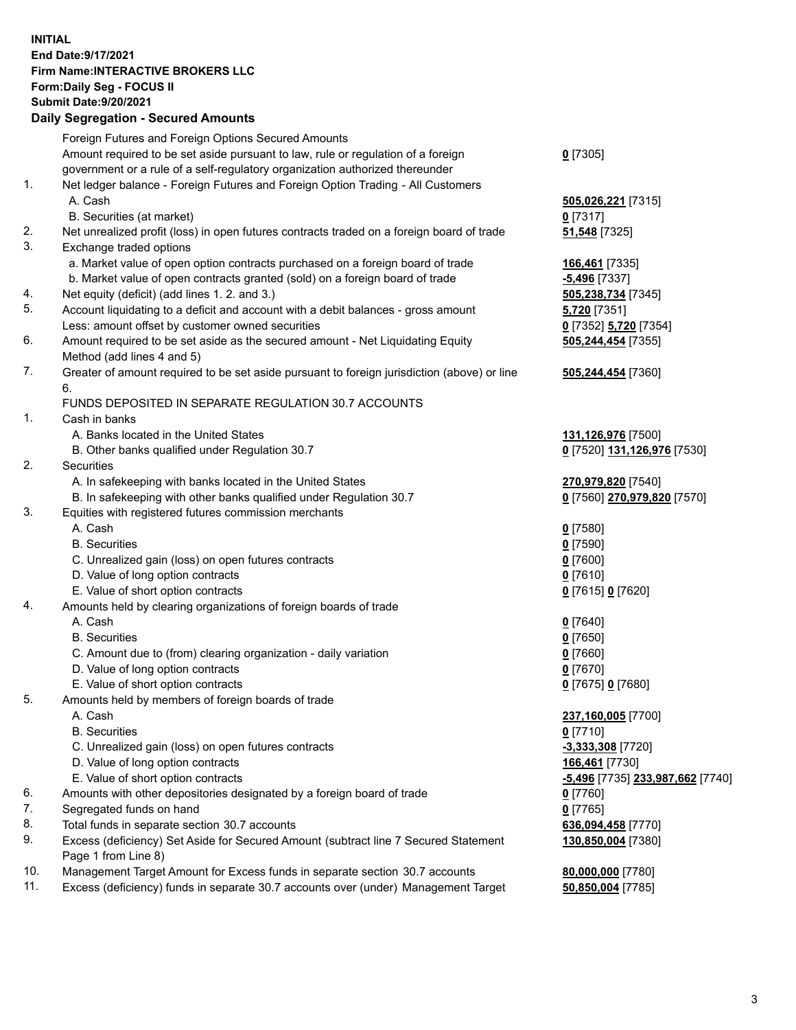**INITIAL End Date:9/17/2021 Firm Name:INTERACTIVE BROKERS LLC Form:Daily Seg - FOCUS II Submit Date:9/20/2021 Daily Segregation - Secured Amounts**

## Foreign Futures and Foreign Options Secured Amounts Amount required to be set aside pursuant to law, rule or regulation of a foreign government or a rule of a self-regulatory organization authorized thereunder **0** [7305] 1. Net ledger balance - Foreign Futures and Foreign Option Trading - All Customers A. Cash **505,026,221** [7315] B. Securities (at market) **0** [7317] 2. Net unrealized profit (loss) in open futures contracts traded on a foreign board of trade **51,548** [7325] 3. Exchange traded options a. Market value of open option contracts purchased on a foreign board of trade **166,461** [7335] b. Market value of open contracts granted (sold) on a foreign board of trade **-5,496** [7337] 4. Net equity (deficit) (add lines 1. 2. and 3.) **505,238,734** [7345] 5. Account liquidating to a deficit and account with a debit balances - gross amount **5,720** [7351] Less: amount offset by customer owned securities **0** [7352] **5,720** [7354] 6. Amount required to be set aside as the secured amount - Net Liquidating Equity Method (add lines 4 and 5) **505,244,454** [7355] 7. Greater of amount required to be set aside pursuant to foreign jurisdiction (above) or line 6. **505,244,454** [7360] FUNDS DEPOSITED IN SEPARATE REGULATION 30.7 ACCOUNTS 1. Cash in banks A. Banks located in the United States **131,126,976** [7500] B. Other banks qualified under Regulation 30.7 **0** [7520] **131,126,976** [7530] 2. Securities A. In safekeeping with banks located in the United States **270,979,820** [7540] B. In safekeeping with other banks qualified under Regulation 30.7 **0** [7560] **270,979,820** [7570] 3. Equities with registered futures commission merchants A. Cash **0** [7580] B. Securities **0** [7590] C. Unrealized gain (loss) on open futures contracts **0** [7600] D. Value of long option contracts **0** [7610] E. Value of short option contracts **0** [7615] **0** [7620] 4. Amounts held by clearing organizations of foreign boards of trade A. Cash **0** [7640] B. Securities **0** [7650] C. Amount due to (from) clearing organization - daily variation **0** [7660] D. Value of long option contracts **0** [7670] E. Value of short option contracts **0** [7675] **0** [7680] 5. Amounts held by members of foreign boards of trade A. Cash **237,160,005** [7700] B. Securities **0** [7710] C. Unrealized gain (loss) on open futures contracts **-3,333,308** [7720] D. Value of long option contracts **166,461** [7730] E. Value of short option contracts **-5,496** [7735] **233,987,662** [7740] 6. Amounts with other depositories designated by a foreign board of trade **0** [7760] 7. Segregated funds on hand **0** [7765] 8. Total funds in separate section 30.7 accounts **636,094,458** [7770] 9. Excess (deficiency) Set Aside for Secured Amount (subtract line 7 Secured Statement Page 1 from Line 8) **130,850,004** [7380] 10. Management Target Amount for Excess funds in separate section 30.7 accounts **80,000,000** [7780] 11. Excess (deficiency) funds in separate 30.7 accounts over (under) Management Target **50,850,004** [7785]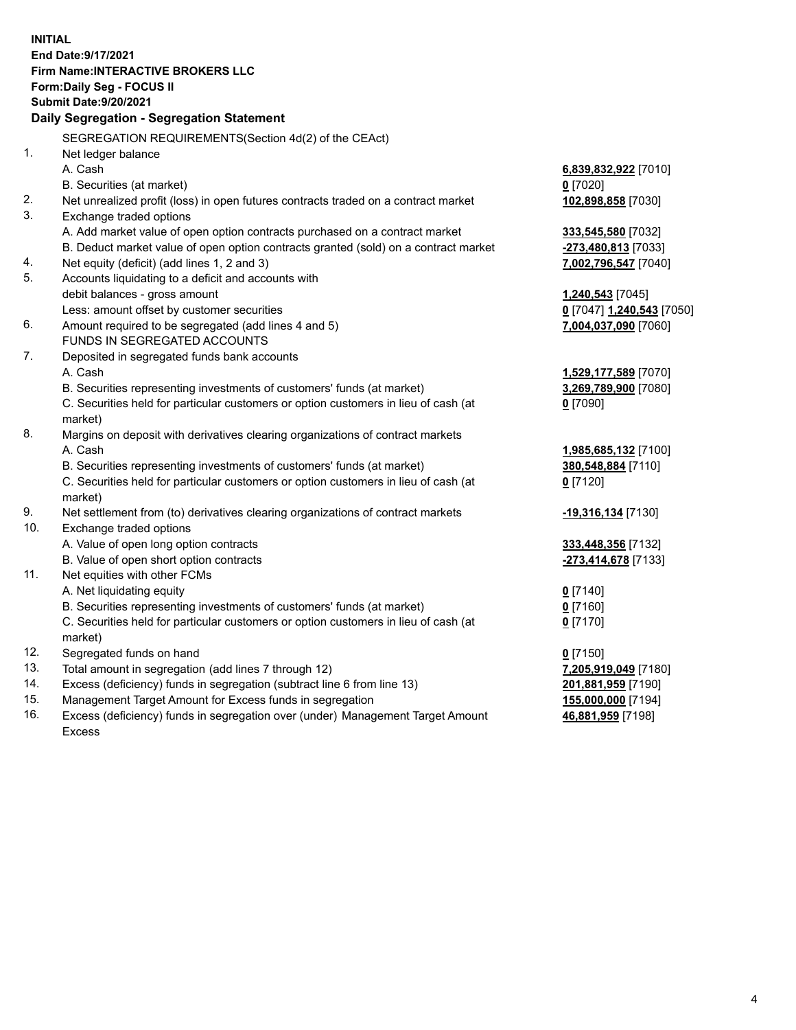**INITIAL End Date:9/17/2021 Firm Name:INTERACTIVE BROKERS LLC Form:Daily Seg - FOCUS II Submit Date:9/20/2021 Daily Segregation - Segregation Statement** SEGREGATION REQUIREMENTS(Section 4d(2) of the CEAct) 1. Net ledger balance A. Cash **6,839,832,922** [7010] B. Securities (at market) **0** [7020] 2. Net unrealized profit (loss) in open futures contracts traded on a contract market **102,898,858** [7030] 3. Exchange traded options A. Add market value of open option contracts purchased on a contract market **333,545,580** [7032] B. Deduct market value of open option contracts granted (sold) on a contract market **-273,480,813** [7033] 4. Net equity (deficit) (add lines 1, 2 and 3) **7,002,796,547** [7040] 5. Accounts liquidating to a deficit and accounts with debit balances - gross amount **1,240,543** [7045] Less: amount offset by customer securities **0** [7047] **1,240,543** [7050] 6. Amount required to be segregated (add lines 4 and 5) **7,004,037,090** [7060] FUNDS IN SEGREGATED ACCOUNTS 7. Deposited in segregated funds bank accounts A. Cash **1,529,177,589** [7070] B. Securities representing investments of customers' funds (at market) **3,269,789,900** [7080] C. Securities held for particular customers or option customers in lieu of cash (at market) **0** [7090] 8. Margins on deposit with derivatives clearing organizations of contract markets A. Cash **1,985,685,132** [7100] B. Securities representing investments of customers' funds (at market) **380,548,884** [7110] C. Securities held for particular customers or option customers in lieu of cash (at market) **0** [7120] 9. Net settlement from (to) derivatives clearing organizations of contract markets **-19,316,134** [7130] 10. Exchange traded options A. Value of open long option contracts **333,448,356** [7132] B. Value of open short option contracts **-273,414,678** [7133] 11. Net equities with other FCMs A. Net liquidating equity **0** [7140] B. Securities representing investments of customers' funds (at market) **0** [7160] C. Securities held for particular customers or option customers in lieu of cash (at market) **0** [7170] 12. Segregated funds on hand **0** [7150] 13. Total amount in segregation (add lines 7 through 12) **7,205,919,049** [7180] 14. Excess (deficiency) funds in segregation (subtract line 6 from line 13) **201,881,959** [7190] 15. Management Target Amount for Excess funds in segregation **155,000,000** [7194] 16. Excess (deficiency) funds in segregation over (under) Management Target Amount **46,881,959** [7198]

Excess